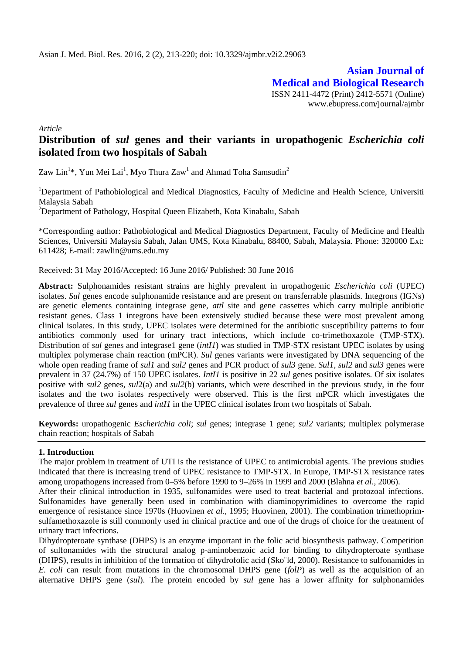**Asian Journal of Medical and Biological Research** ISSN 2411-4472 (Print) 2412-5571 (Online) www.ebupress.com/journal/ajmbr

*Article*

# **Distribution of** *sul* **genes and their variants in uropathogenic** *Escherichia coli*  **isolated from two hospitals of Sabah**

Zaw Lin $^{1*}$ , Yun Mei Lai $^{1}$ , Myo Thura Zaw $^{1}$  and Ahmad Toha Samsudin $^{2}$ 

<sup>1</sup>Department of Pathobiological and Medical Diagnostics, Faculty of Medicine and Health Science, Universiti Malaysia Sabah

<sup>2</sup>Department of Pathology, Hospital Queen Elizabeth, Kota Kinabalu, Sabah

\*Corresponding author: Pathobiological and Medical Diagnostics Department, Faculty of Medicine and Health Sciences, Universiti Malaysia Sabah, Jalan UMS, Kota Kinabalu, 88400, Sabah, Malaysia. Phone: 320000 Ext: 611428; E-mail: zawlin@ums.edu.my

Received: 31 May 2016/Accepted: 16 June 2016/ Published: 30 June 2016

**Abstract:** Sulphonamides resistant strains are highly prevalent in uropathogenic *Escherichia coli* (UPEC) isolates. *Sul* genes encode sulphonamide resistance and are present on transferrable plasmids. Integrons (IGNs) are genetic elements containing integrase gene, *attl* site and gene cassettes which carry multiple antibiotic resistant genes. Class 1 integrons have been extensively studied because these were most prevalent among clinical isolates. In this study, UPEC isolates were determined for the antibiotic susceptibility patterns to four antibiotics commonly used for urinary tract infections, which include co-trimethoxazole (TMP-STX). Distribution of *sul* genes and integrase1 gene *(intI1)* was studied in TMP-STX resistant UPEC isolates by using multiplex polymerase chain reaction (mPCR). *Sul* genes variants were investigated by DNA sequencing of the whole open reading frame of *sul1* and *sul2* genes and PCR product of *sul3* gene. *Sul1*, *sul2* and *sul3* genes were prevalent in 37 (24.7%) of 150 UPEC isolates. *IntI1* is positive in 22 *sul* genes positive isolates. Of six isolates positive with *sul2* genes, *sul*2(a) and *sul2*(b) variants, which were described in the previous study, in the four isolates and the two isolates respectively were observed. This is the first mPCR which investigates the prevalence of three *sul* genes and *intI1* in the UPEC clinical isolates from two hospitals of Sabah.

**Keywords:** uropathogenic *Escherichia coli*; *sul* genes; integrase 1 gene; *sul2* variants; multiplex polymerase chain reaction; hospitals of Sabah

## **1. Introduction**

The major problem in treatment of UTI is the resistance of UPEC to antimicrobial agents. The previous studies indicated that there is increasing trend of UPEC resistance to TMP-STX. In Europe, TMP-STX resistance rates among uropathogens increased from 0–5% before 1990 to 9–26% in 1999 and 2000 (Blahna *et al*., 2006).

After their clinical introduction in 1935, sulfonamides were used to treat bacterial and protozoal infections. Sulfonamides have generally been used in combination with diaminopyrimidines to overcome the rapid emergence of resistance since 1970s (Huovinen *et al*., 1995; Huovinen, 2001). The combination trimethoprimsulfamethoxazole is still commonly used in clinical practice and one of the drugs of choice for the treatment of urinary tract infections.

Dihydropteroate synthase (DHPS) is an enzyme important in the folic acid biosynthesis pathway. Competition of sulfonamides with the structural analog p-aminobenzoic acid for binding to dihydropteroate synthase (DHPS), results in inhibition of the formation of dihydrofolic acid (Sko¨ld, 2000). Resistance to sulfonamides in *E. coli* can result from mutations in the chromosomal DHPS gene (*folP*) as well as the acquisition of an alternative DHPS gene (*sul*). The protein encoded by *sul* gene has a lower affinity for sulphonamides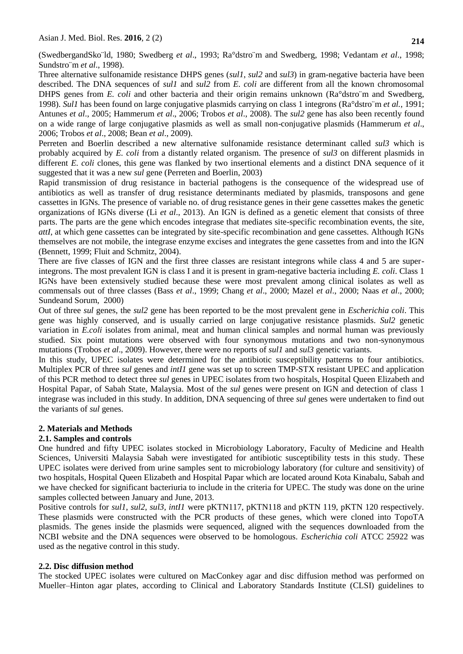(SwedbergandSko¨ld, 1980; Swedberg *et al*., 1993; Ra°dstro¨m and Swedberg, 1998; Vedantam *et al*., 1998; Sundstro¨m *et al*., 1998).

Three alternative sulfonamide resistance DHPS genes (*sul1*, *sul2* and *sul3*) in gram-negative bacteria have been described. The DNA sequences of *sul1* and *sul2* from *E. coli* are different from all the known chromosomal DHPS genes from *E. coli* and other bacteria and their origin remains unknown (Ra°dstro™m and Swedberg, 1998). *Sul1* has been found on large conjugative plasmids carrying on class 1 integrons (Ra°dstro¨m *et al.*, 1991; Antunes *et al*., 2005; Hammerum *et al*., 2006; Trobos *et al*., 2008). The *sul2* gene has also been recently found on a wide range of large conjugative plasmids as well as small non-conjugative plasmids (Hammerum *et al*., 2006; Trobos *et al*., 2008; Bean *et al*., 2009).

Perreten and Boerlin described a new alternative sulfonamide resistance determinant called *sul3* which is probably acquired by *E. coli* from a distantly related organism. The presence of *sul3* on different plasmids in different *E. coli* clones, this gene was flanked by two insertional elements and a distinct DNA sequence of it suggested that it was a new *sul* gene (Perreten and Boerlin, 2003)

Rapid transmission of drug resistance in bacterial pathogens is the consequence of the widespread use of antibiotics as well as transfer of drug resistance determinants mediated by plasmids, transposons and gene cassettes in IGNs. The presence of variable no. of drug resistance genes in their gene cassettes makes the genetic organizations of IGNs diverse (Li *et al*., 2013). An IGN is defined as a genetic element that consists of three parts. The parts are the gene which encodes integrase that mediates site-specific recombination events, the site, *attI*, at which gene cassettes can be integrated by site-specific recombination and gene cassettes. Although IGNs themselves are not mobile, the integrase enzyme excises and integrates the gene cassettes from and into the IGN (Bennett, 1999; Fluit and Schmitz, 2004).

There are five classes of IGN and the first three classes are resistant integrons while class 4 and 5 are superintegrons. The most prevalent IGN is class I and it is present in gram-negative bacteria including *E. coli*. Class 1 IGNs have been extensively studied because these were most prevalent among clinical isolates as well as commensals out of three classes (Bass *et al*., 1999; Chang *et al*., 2000; Mazel *et al*., 2000; Naas *et al*., 2000; Sundeand Sorum, 2000)

Out of three *sul* genes, the *sul2* gene has been reported to be the most prevalent gene in *Escherichia coli*. This gene was highly conserved, and is usually carried on large conjugative resistance plasmids. *Sul2* genetic variation in *E.coli* isolates from animal, meat and human clinical samples and normal human was previously studied. Six point mutations were observed with four synonymous mutations and two non-synonymous mutations (Trobos *et al*., 2009). However, there were no reports of *sul1* and *sul3* genetic variants.

In this study, UPEC isolates were determined for the antibiotic susceptibility patterns to four antibiotics. Multiplex PCR of three *sul* genes and *intI1* gene was set up to screen TMP-STX resistant UPEC and application of this PCR method to detect three *sul* genes in UPEC isolates from two hospitals, Hospital Queen Elizabeth and Hospital Papar, of Sabah State, Malaysia. Most of the *sul* genes were present on IGN and detection of class 1 integrase was included in this study. In addition, DNA sequencing of three *sul* genes were undertaken to find out the variants of *sul* genes.

# **2. Materials and Methods**

# **2.1. Samples and controls**

One hundred and fifty UPEC isolates stocked in Microbiology Laboratory, Faculty of Medicine and Health Sciences, Universiti Malaysia Sabah were investigated for antibiotic susceptibility tests in this study. These UPEC isolates were derived from urine samples sent to microbiology laboratory (for culture and sensitivity) of two hospitals, Hospital Queen Elizabeth and Hospital Papar which are located around Kota Kinabalu, Sabah and we have checked for significant bacteriuria to include in the criteria for UPEC. The study was done on the urine samples collected between January and June, 2013.

Positive controls for *sul1*, *sul2*, *sul3, intI1* were pKTN117, pKTN118 and pKTN 119, pKTN 120 respectively. These plasmids were constructed with the PCR products of these genes, which were cloned into TopoTA plasmids. The genes inside the plasmids were sequenced, aligned with the sequences downloaded from the NCBI website and the DNA sequences were observed to be homologous. *Escherichia coli* ATCC 25922 was used as the negative control in this study.

## **2.2. Disc diffusion method**

The stocked UPEC isolates were cultured on MacConkey agar and disc diffusion method was performed on Mueller–Hinton agar plates, according to Clinical and Laboratory Standards Institute (CLSI) guidelines to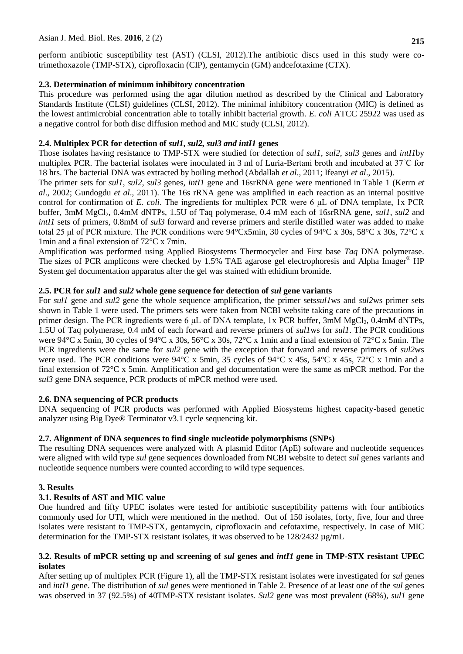# Asian J. Med. Biol. Res. **2016**, 2 (2) **215**

perform antibiotic susceptibility test (AST) (CLSI, 2012).The antibiotic discs used in this study were cotrimethoxazole (TMP-STX), ciprofloxacin (CIP), gentamycin (GM) andcefotaxime (CTX).

#### **2.3. Determination of minimum inhibitory concentration**

This procedure was performed using the agar dilution method as described by the Clinical and Laboratory Standards Institute (CLSI) guidelines (CLSI, 2012). The minimal inhibitory concentration (MIC) is defined as the lowest antimicrobial concentration able to totally inhibit bacterial growth. *E. coli* ATCC 25922 was used as a negative control for both disc diffusion method and MIC study (CLSI, 2012).

#### **2.4. Multiplex PCR for detection of** *sul1***,** *sul2, sul3 and intI1* **genes**

Those isolates having resistance to TMP-STX were studied for detection of *sul1*, *sul2*, *sul3* genes and *intI1*by multiplex PCR. The bacterial isolates were inoculated in 3 ml of Luria-Bertani broth and incubated at 37˚C for 18 hrs. The bacterial DNA was extracted by boiling method (Abdallah *et al*., 2011; Ifeanyi *et al*., 2015)*.*

The primer sets for *sul1*, *sul2*, *sul3* genes, *intI1* gene and 16srRNA gene were mentioned in Table 1 (Kerrn *et al*., 2002; Gundogdu *et al*., 2011). The 16s rRNA gene was amplified in each reaction as an internal positive control for confirmation of *E. coli*. The ingredients for multiplex PCR were 6 μL of DNA template, 1x PCR buffer, 3mM MgCl<sub>2</sub>, 0.4mM dNTPs, 1.5U of Taq polymerase, 0.4 mM each of 16srRNA gene, *sul1*, *sul2* and *intI1* sets of primers, 0.8mM of *sul3* forward and reverse primers and sterile distilled water was added to make total 25 μl of PCR mixture. The PCR conditions were 94°Cx5min, 30 cycles of 94°C x 30s, 58°C x 30s, 72°C x 1min and a final extension of 72°C x 7min.

Amplification was performed using Applied Biosystems Thermocycler and First base *Taq* DNA polymerase. The sizes of PCR amplicons were checked by 1.5% TAE agarose gel electrophoresis and Alpha Imager® HP System gel documentation apparatus after the gel was stained with ethidium bromide.

#### **2.5. PCR for** *sul1* **and** *sul2* **whole gene sequence for detection of** *sul* **gene variants**

For *sul1* gene and *sul2* gene the whole sequence amplification, the primer sets*sul1*ws and *sul2*ws primer sets shown in Table 1 were used. The primers sets were taken from NCBI website taking care of the precautions in primer design. The PCR ingredients were 6  $\mu$ L of DNA template, 1x PCR buffer, 3mM MgCl<sub>2</sub>, 0.4mM dNTPs, 1.5U of Taq polymerase, 0.4 mM of each forward and reverse primers of *sul1*ws for *sul1*. The PCR conditions were 94°C x 5min, 30 cycles of 94°C x 30s, 56°C x 30s, 72°C x 1min and a final extension of 72°C x 5min. The PCR ingredients were the same for *sul2* gene with the exception that forward and reverse primers of *sul2*ws were used. The PCR conditions were 94°C x 5min, 35 cycles of 94°C x 45s, 54°C x 45s, 72°C x 1min and a final extension of 72°C x 5min. Amplification and gel documentation were the same as mPCR method. For the *sul3* gene DNA sequence, PCR products of mPCR method were used.

## **2.6. DNA sequencing of PCR products**

DNA sequencing of PCR products was performed with Applied Biosystems highest capacity-based genetic analyzer using Big Dye® Terminator v3.1 cycle sequencing kit.

#### **2.7. Alignment of DNA sequences to find single nucleotide polymorphisms (SNPs)**

The resulting DNA sequences were analyzed with A plasmid Editor (ApE) software and nucleotide sequences were aligned with wild type *sul* gene sequences downloaded from NCBI website to detect *sul* genes variants and nucleotide sequence numbers were counted according to wild type sequences.

#### **3. Results**

#### **3.1. Results of AST and MIC value**

One hundred and fifty UPEC isolates were tested for antibiotic susceptibility patterns with four antibiotics commonly used for UTI, which were mentioned in the method. Out of 150 isolates, forty, five, four and three isolates were resistant to TMP-STX, gentamycin, ciprofloxacin and cefotaxime, respectively. In case of MIC determination for the TMP-STX resistant isolates, it was observed to be  $128/2432 \mu g/mL$ 

#### **3.2. Results of mPCR setting up and screening of** *sul* **genes and** *intI1 g***ene in TMP-STX resistant UPEC isolates**

After setting up of multiplex PCR (Figure 1), all the TMP-STX resistant isolates were investigated for *sul* genes and *intI1 g*ene. The distribution of *sul* genes were mentioned in Table 2. Presence of at least one of the *sul* genes was observed in 37 (92.5%) of 40TMP-STX resistant isolates. *Sul2* gene was most prevalent (68%), *sul1* gene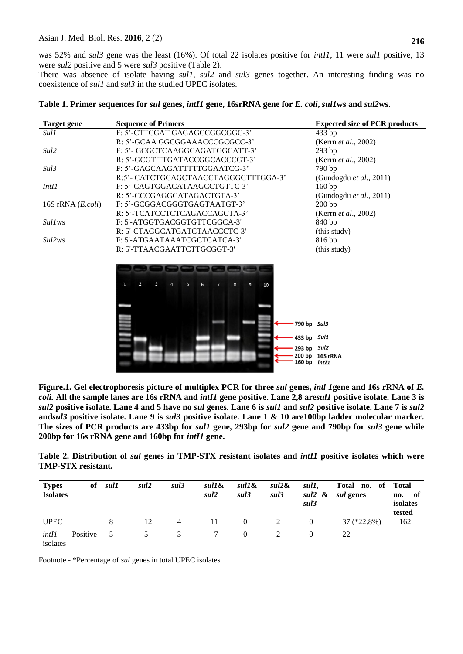was 52% and *sul3* gene was the least (16%). Of total 22 isolates positive for *intI1*, 11 were *sul1* positive, 13 were *sul2* positive and 5 were *sul3* positive (Table 2).

There was absence of isolate having *sul1*, *sul2* and *sul3* genes together. An interesting finding was no coexistence of *sul1* and *sul3* in the studied UPEC isolates.

| Target gene                     | <b>Sequence of Primers</b>           | <b>Expected size of PCR products</b> |
|---------------------------------|--------------------------------------|--------------------------------------|
| Sul1                            | F: 5'-CTTCGAT GAGAGCCGGCGGC-3'       | $433$ bp                             |
|                                 | R: 5'-GCAA GGCGGAAACCCGCGCC-3'       | (Kerrn <i>et al.</i> , 2002)         |
| Sul <sub>2</sub>                | F: 5'- GCGCTCAAGGCAGATGGCATT-3'      | $293$ bp                             |
|                                 | R: 5'-GCGT TTGATACCGGCACCCGT-3'      | (Kerrn <i>et al.</i> , 2002)         |
| Sul3                            | F: 5'-GAGCAAGATTTTTGGAATCG-3'        | $790 b$ p                            |
|                                 | R:5'- CATCTGCAGCTAACCTAGGGCTTTGGA-3' | (Gundogdu <i>et al.</i> , 2011)      |
| IntI1                           | F: 5'-CAGTGGACATAAGCCTGTTC-3'        | 160bp                                |
|                                 | R: 5'-CCCGAGGCATAGACTGTA-3'          | (Gundogdu <i>et al.</i> , 2011)      |
| 16S rRNA $(E. coli)$            | F: 5'-GCGGACGGGTGAGTAATGT-3'         | 200bp                                |
|                                 | R: 5'-TCATCCTCTCAGACCAGCTA-3'        | (Kerrn <i>et al.</i> , 2002)         |
| <i>Sull</i> ws                  | F: 5'-ATGGTGACGGTGTTCGGCA-3'         | 840 bp                               |
|                                 | R: 5'-CTAGGCATGATCTAACCCTC-3'        | (this study)                         |
| Sul <sub>2</sub> w <sub>s</sub> | F: 5'-ATGAATAAATCGCTCATCA-3'         | 816bp                                |
|                                 | R: 5'-TTAACGAATTCTTGCGGT-3'          | (this study)                         |

**Table 1. Primer sequences for** *sul* **genes,** *intI1* **gene, 16srRNA gene for** *E. coli***,** *sul1***ws and** *sul2***ws.** 



**Figure.1. Gel electrophoresis picture of multiplex PCR for three** *sul* **genes,** *intl 1***gene and 16s rRNA of** *E. coli.* **All the sample lanes are 16s rRNA and** *intI1* **gene positive. Lane 2,8 are***sul1* **positive isolate. Lane 3 is**  *sul2* **positive isolate. Lane 4 and 5 have no** *sul* **genes. Lane 6 is** *sul1* **and** *sul2* **positive isolate. Lane 7 is** *sul2* **and***sul3* **positive isolate. Lane 9 is** *sul3* **positive isolate. Lane 1 & 10 are100bp ladder molecular marker. The sizes of PCR products are 433bp for** *sul1* **gene, 293bp for** *sul2* **gene and 790bp for** *sul3* **gene while 200bp for 16s rRNA gene and 160bp for** *intI1* **gene.** 

**Table 2. Distribution of** *sul* **genes in TMP-STX resistant isolates and** *intI1* **positive isolates which were TMP-STX resistant.**

| <b>Types</b><br><b>Isolates</b> | of       | sul1 | sul <sub>2</sub> | sul3 | sul1&<br>sul2 | sul1&<br>sul3 | $sul2\&$<br>sul3 | sul1,<br>sul <sub>2</sub> &<br>sul3 | Total no. of Total<br><i>sul</i> genes | - of<br>no.<br>isolates<br>tested |
|---------------------------------|----------|------|------------------|------|---------------|---------------|------------------|-------------------------------------|----------------------------------------|-----------------------------------|
| <b>UPEC</b>                     |          | 8    | 12               | 4    |               | $\theta$      | 2                | $\theta$                            | $37$ (*22.8%)                          | 162                               |
| intII<br>isolates               | Positive | 5    | 5                | 3    | 7             | $\theta$      |                  |                                     | 22                                     |                                   |

Footnote - \*Percentage of *sul* genes in total UPEC isolates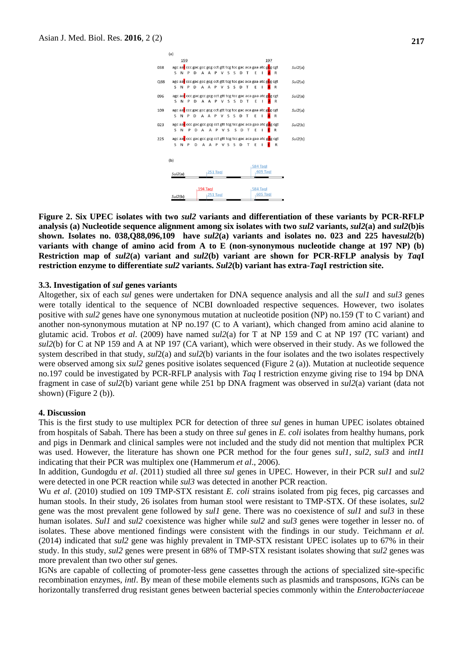

**Figure 2. Six UPEC isolates with two** *sul2* **variants and differentiation of these variants by PCR-RFLP analysis (a) Nucleotide sequence alignment among six isolates with two** *sul2* **variants,** *sul2***(a) and** *sul2***(b)is shown. Isolates no. 038,Q88,096,109 have** *sul2***(a) variants and isolates no. 023 and 225 have***sul2***(b) variants with change of amino acid from A to E (non-synonymous nucleotide change at 197 NP) (b) Restriction map of** *sul2***(a) variant and** *sul2***(b) variant are shown for PCR-RFLP analysis by** *Taq***I restriction enzyme to differentiate** *sul2* **variants.** *Sul2***(b) variant has extra-***Taq***I restriction site.**

#### **3.3. Investigation of** *sul* **genes variants**

Altogether, six of each *sul* genes were undertaken for DNA sequence analysis and all the *sul1* and *sul3* genes were totally identical to the sequence of NCBI downloaded respective sequences. However, two isolates positive with *sul2* genes have one synonymous mutation at nucleotide position (NP) no.159 (T to C variant) and another non-synonymous mutation at NP no.197 (C to A variant), which changed from amino acid alanine to glutamic acid. Trobos *et al*. (2009) have named *sul2*(a) for T at NP 159 and C at NP 197 (TC variant) and *sul2*(b) for C at NP 159 and A at NP 197 (CA variant), which were observed in their study. As we followed the system described in that study, *sul*2(a) and *sul2*(b) variants in the four isolates and the two isolates respectively were observed among six *sul2* genes positive isolates sequenced (Figure 2 (a)). Mutation at nucleotide sequence no.197 could be investigated by PCR-RFLP analysis with *Taq* I restriction enzyme giving rise to 194 bp DNA fragment in case of *sul2*(b) variant gene while 251 bp DNA fragment was observed in *sul2*(a) variant (data not shown) (Figure 2 (b)).

#### **4. Discussion**

This is the first study to use multiplex PCR for detection of three *sul* genes in human UPEC isolates obtained from hospitals of Sabah. There has been a study on three *sul* genes in *E. coli* isolates from healthy humans, pork and pigs in Denmark and clinical samples were not included and the study did not mention that multiplex PCR was used. However, the literature has shown one PCR method for the four genes *sul1*, *sul2*, *sul3* and *intI1* indicating that their PCR was multiplex one (Hammerum *et al*., 2006).

In addition, Gundogdu *et al*. (2011) studied all three *sul* genes in UPEC. However, in their PCR *sul1* and *sul2* were detected in one PCR reaction while *sul3* was detected in another PCR reaction.

Wu *et al*. (2010) studied on 109 TMP-STX resistant *E. coli* strains isolated from pig feces, pig carcasses and human stools. In their study, 26 isolates from human stool were resistant to TMP-STX. Of these isolates, *sul2* gene was the most prevalent gene followed by *sul1* gene. There was no coexistence of *sul1* and *sul3* in these human isolates. *Sul1* and *sul2* coexistence was higher while *sul2* and *sul3* genes were together in lesser no. of isolates. These above mentioned findings were consistent with the findings in our study. Teichmann *et al.* (2014) indicated that *sul2* gene was highly prevalent in TMP-STX resistant UPEC isolates up to 67% in their study. In this study, *sul2* genes were present in 68% of TMP-STX resistant isolates showing that *sul2* genes was more prevalent than two other *sul* genes.

IGNs are capable of collecting of promoter-less gene cassettes through the actions of specialized site-specific recombination enzymes, *intl*. By mean of these mobile elements such as plasmids and transposons, IGNs can be horizontally transferred drug resistant genes between bacterial species commonly within the *Enterobacteriaceae*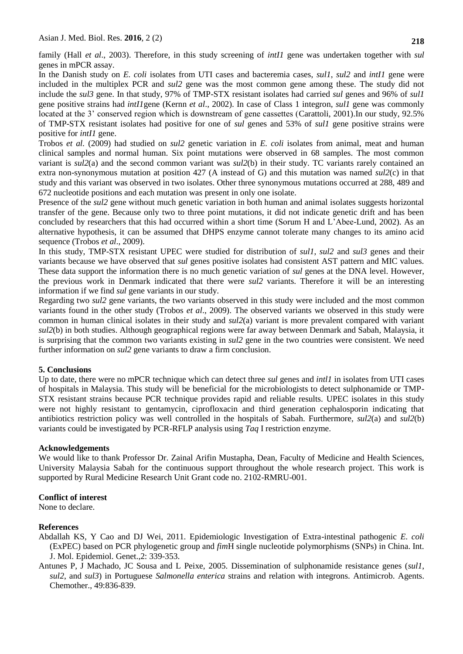family (Hall *et al*., 2003). Therefore, in this study screening of *intI1* gene was undertaken together with *sul* genes in mPCR assay.

In the Danish study on *E. coli* isolates from UTI cases and bacteremia cases, *sul1*, *sul2* and *intI1* gene were included in the multiplex PCR and *sul2* gene was the most common gene among these. The study did not include the *sul3* gene. In that study, 97% of TMP-STX resistant isolates had carried *sul* genes and 96% of *sul1* gene positive strains had *intI1*gene (Kernn *et al*., 2002). In case of Class 1 integron, *sul1* gene was commonly located at the 3' conserved region which is downstream of gene cassettes (Carattoli, 2001).In our study, 92.5% of TMP-STX resistant isolates had positive for one of *sul* genes and 53% of *sul1* gene positive strains were positive for *intI1* gene.

Trobos *et al.* (2009) had studied on *sul2* genetic variation in *E. coli* isolates from animal, meat and human clinical samples and normal human. Six point mutations were observed in 68 samples. The most common variant is *sul2*(a) and the second common variant was *sul2*(b) in their study. TC variants rarely contained an extra non-synonymous mutation at position 427 (A instead of G) and this mutation was named *sul2*(c) in that study and this variant was observed in two isolates. Other three synonymous mutations occurred at 288, 489 and 672 nucleotide positions and each mutation was present in only one isolate.

Presence of the *sul* gene without much genetic variation in both human and animal isolates suggests horizontal transfer of the gene. Because only two to three point mutations, it did not indicate genetic drift and has been concluded by researchers that this had occurred within a short time (Sorum H and L'Abee-Lund, 2002). As an alternative hypothesis, it can be assumed that DHPS enzyme cannot tolerate many changes to its amino acid sequence (Trobos *et al*., 2009).

In this study, TMP-STX resistant UPEC were studied for distribution of *sul1*, *sul2* and *sul3* genes and their variants because we have observed that *sul* genes positive isolates had consistent AST pattern and MIC values. These data support the information there is no much genetic variation of *sul* genes at the DNA level. However, the previous work in Denmark indicated that there were *sul2* variants. Therefore it will be an interesting information if we find *sul* gene variants in our study.

Regarding two *sul2* gene variants, the two variants observed in this study were included and the most common variants found in the other study (Trobos *et al*., 2009). The observed variants we observed in this study were common in human clinical isolates in their study and *sul2*(a) variant is more prevalent compared with variant *sul2*(b) in both studies. Although geographical regions were far away between Denmark and Sabah, Malaysia, it is surprising that the common two variants existing in *sul2* gene in the two countries were consistent. We need further information on *sul2* gene variants to draw a firm conclusion.

## **5. Conclusions**

Up to date, there were no mPCR technique which can detect three *sul* genes and *intl1* in isolates from UTI cases of hospitals in Malaysia. This study will be beneficial for the microbiologists to detect sulphonamide or TMP-STX resistant strains because PCR technique provides rapid and reliable results. UPEC isolates in this study were not highly resistant to gentamycin, ciprofloxacin and third generation cephalosporin indicating that antibiotics restriction policy was well controlled in the hospitals of Sabah. Furthermore, *sul2*(a) and *sul2*(b) variants could be investigated by PCR-RFLP analysis using *Taq* I restriction enzyme.

## **Acknowledgements**

We would like to thank Professor Dr. Zainal Arifin Mustapha, Dean, Faculty of Medicine and Health Sciences, University Malaysia Sabah for the continuous support throughout the whole research project. This work is supported by Rural Medicine Research Unit Grant code no. 2102-RMRU-001.

## **Conflict of interest**

None to declare.

## **References**

- Abdallah KS, Y Cao and DJ Wei, 2011. Epidemiologic Investigation of Extra-intestinal pathogenic *E. coli* (ExPEC) based on PCR phylogenetic group and *fim*H single nucleotide polymorphisms (SNPs) in China. Int. J. Mol. Epidemiol. Genet.,2: 339-353.
- Antunes P, J Machado, JC Sousa and L Peixe, 2005. Dissemination of sulphonamide resistance genes (*sul1*, *sul2*, and *sul3*) in Portuguese *Salmonella enterica* strains and relation with integrons. Antimicrob. Agents. Chemother., 49:836-839.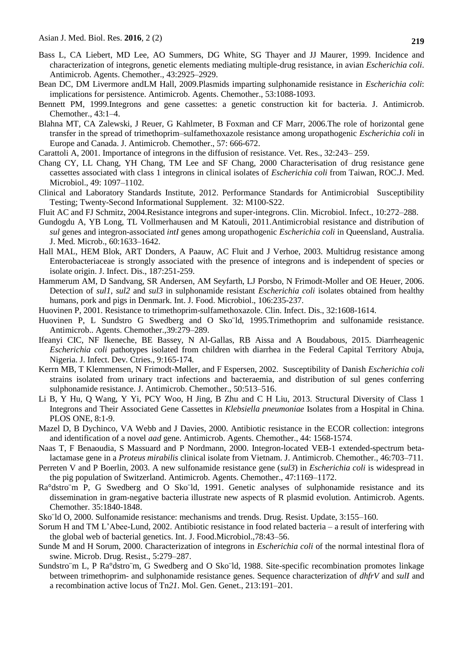- Bass L, CA Liebert, MD Lee, AO Summers, DG White, SG Thayer and JJ Maurer, 1999. Incidence and characterization of integrons, genetic elements mediating multiple-drug resistance, in avian *Escherichia coli*. Antimicrob. Agents. Chemother., 43:2925–2929.
- Bean DC, DM Livermore andLM Hall, 2009.Plasmids imparting sulphonamide resistance in *Escherichia coli*: implications for persistence. Antimicrob. Agents. Chemother., 53:1088-1093.
- Bennett PM, 1999.Integrons and gene cassettes: a genetic construction kit for bacteria. J. Antimicrob. Chemother., 43:1–4.
- Blahna MT, CA Zalewski, J Reuer, G Kahlmeter, B Foxman and CF Marr, 2006.The role of horizontal gene transfer in the spread of trimethoprim–sulfamethoxazole resistance among uropathogenic *Escherichia coli* in Europe and Canada. J. Antimicrob. Chemother., 57: 666-672.
- Carattoli A, 2001. Importance of integrons in the diffusion of resistance. Vet. Res., 32:243– 259.
- Chang CY, LL Chang, YH Chang, TM Lee and SF Chang, 2000 Characterisation of drug resistance gene cassettes associated with class 1 integrons in clinical isolates of *Escherichia coli* from Taiwan, ROC.J. Med. Microbiol., 49: 1097–1102.
- Clinical and Laboratory Standards Institute, 2012. Performance Standards for Antimicrobial Susceptibility Testing; Twenty-Second Informational Supplement. 32: M100-S22.
- Fluit AC and FJ Schmitz, 2004.Resistance integrons and super-integrons. Clin. Microbiol. Infect., 10:272–288.
- Gundogdu A, YB Long, TL Vollmerhausen and M Katouli, 2011.Antimicrobial resistance and distribution of *sul* genes and integron-associated *intI* genes among uropathogenic *Escherichia coli* in Queensland, Australia. J. Med. Microb., 60:1633–1642.
- Hall MAL, HEM Blok, ART Donders, A Paauw, AC Fluit and J Verhoe, 2003. Multidrug resistance among Enterobacteriaceae is strongly associated with the presence of integrons and is independent of species or isolate origin. J. Infect. Dis., 187:251-259.
- Hammerum AM, D Sandvang, SR Andersen, AM Seyfarth, LJ Porsbo, N Frimodt-Moller and OE Heuer, 2006. Detection of *sul1*, *sul2* and *sul3* in sulphonamide resistant *Escherichia coli* isolates obtained from healthy humans, pork and pigs in Denmark. Int. J. Food. Microbiol., 106:235-237.
- Huovinen P, 2001. Resistance to trimethoprim-sulfamethoxazole. Clin. Infect. Dis., 32:1608-1614.
- Huovinen P, L Sundstro G Swedberg and O Sko¨ld, 1995.Trimethoprim and sulfonamide resistance. Antimicrob.. Agents. Chemother.,39:279–289.
- Ifeanyi CIC, NF Ikeneche, BE Bassey, N Al-Gallas, RB Aissa and A Boudabous, 2015. Diarrheagenic *Escherichia coli* pathotypes isolated from children with diarrhea in the Federal Capital Territory Abuja, Nigeria. J. Infect. Dev. Ctries., 9:165-174*.*
- Kerrn MB, T Klemmensen, N Frimodt-Møller, and F Espersen, 2002. Susceptibility of Danish *Escherichia coli* strains isolated from urinary tract infections and bacteraemia, and distribution of sul genes conferring sulphonamide resistance. J. Antimicrob. Chemother., 50:513–516.
- Li B, Y Hu, Q Wang, Y Yi, PCY Woo, H Jing, B Zhu and C H Liu, 2013. Structural Diversity of Class 1 Integrons and Their Associated Gene Cassettes in *Klebsiella pneumoniae* Isolates from a Hospital in China. PLOS ONE, 8:1-9.
- Mazel D, B Dychinco, VA Webb and J Davies, 2000. Antibiotic resistance in the ECOR collection: integrons and identification of a novel *aad* gene. Antimicrob. Agents. Chemother., 44: 1568-1574.
- Naas T, F Benaoudia, S Massuard and P Nordmann, 2000. Integron-located VEB-1 extended-spectrum betalactamase gene in a *Proteus mirabilis* clinical isolate from Vietnam. J. Antimicrob. Chemother., 46:703–711.
- Perreten V and P Boerlin, 2003. A new sulfonamide resistance gene (*sul3*) in *Escherichia coli* is widespread in the pig population of Switzerland. Antimicrob. Agents. Chemother., 47:1169–1172.
- Ra°dstro¨m P, G Swedberg and O Sko¨ld, 1991. Genetic analyses of sulphonamide resistance and its dissemination in gram-negative bacteria illustrate new aspects of R plasmid evolution. Antimicrob. Agents. Chemother. 35:1840-1848.
- Sko¨ld O, 2000. Sulfonamide resistance: mechanisms and trends. Drug. Resist. Update, 3:155–160.
- Sorum H and TM L'Abee-Lund, 2002. Antibiotic resistance in food related bacteria a result of interfering with the global web of bacterial genetics. Int. J. Food.Microbiol.,78:43–56.
- Sunde M and H Sorum, 2000. Characterization of integrons in *Escherichia coli* of the normal intestinal flora of swine. Microb. Drug. Resist., 5:279–287.
- Sundstro¨m L, P Ra°dstro¨m, G Swedberg and O Sko¨ld, 1988. Site-specific recombination promotes linkage between trimethoprim- and sulphonamide resistance genes. Sequence characterization of *dhfrV* and *sulI* and a recombination active locus of Tn*21*. Mol. Gen. Genet., 213:191–201.